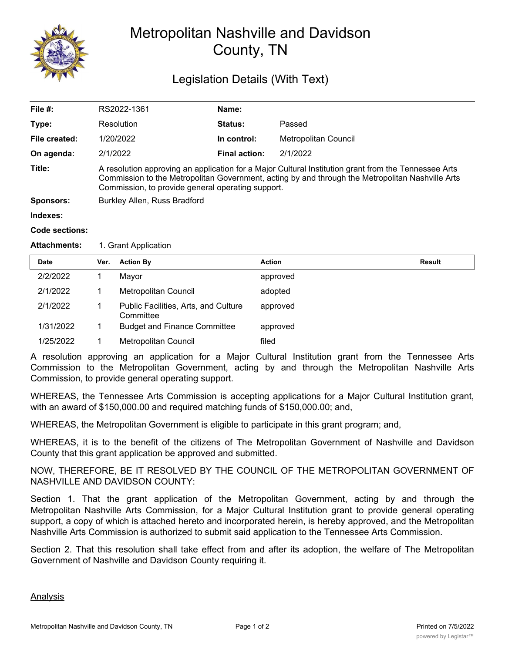

## Metropolitan Nashville and Davidson County, TN

## Legislation Details (With Text)

| File #:       | RS2022-1361                                                                                                                                                                                                                                                   | Name:                |                      |  |  |  |
|---------------|---------------------------------------------------------------------------------------------------------------------------------------------------------------------------------------------------------------------------------------------------------------|----------------------|----------------------|--|--|--|
| Type:         | Resolution                                                                                                                                                                                                                                                    | <b>Status:</b>       | Passed               |  |  |  |
| File created: | 1/20/2022                                                                                                                                                                                                                                                     | In control:          | Metropolitan Council |  |  |  |
| On agenda:    | 2/1/2022                                                                                                                                                                                                                                                      | <b>Final action:</b> | 2/1/2022             |  |  |  |
| Title:        | A resolution approving an application for a Major Cultural Institution grant from the Tennessee Arts<br>Commission to the Metropolitan Government, acting by and through the Metropolitan Nashville Arts<br>Commission, to provide general operating support. |                      |                      |  |  |  |
| Sponsors:     | Burkley Allen, Russ Bradford                                                                                                                                                                                                                                  |                      |                      |  |  |  |
| Indexes:      |                                                                                                                                                                                                                                                               |                      |                      |  |  |  |
|               |                                                                                                                                                                                                                                                               |                      |                      |  |  |  |

## **Code sections:**

## **Attachments:** 1. Grant Application

| <b>Date</b> | Ver. | <b>Action By</b>                                  | Action   | Result |
|-------------|------|---------------------------------------------------|----------|--------|
| 2/2/2022    |      | Mayor                                             | approved |        |
| 2/1/2022    |      | Metropolitan Council                              | adopted  |        |
| 2/1/2022    |      | Public Facilities, Arts, and Culture<br>Committee | approved |        |
| 1/31/2022   |      | <b>Budget and Finance Committee</b>               | approved |        |
| 1/25/2022   |      | Metropolitan Council                              | filed    |        |

A resolution approving an application for a Major Cultural Institution grant from the Tennessee Arts Commission to the Metropolitan Government, acting by and through the Metropolitan Nashville Arts Commission, to provide general operating support.

WHEREAS, the Tennessee Arts Commission is accepting applications for a Major Cultural Institution grant, with an award of \$150,000.00 and required matching funds of \$150,000.00; and,

WHEREAS, the Metropolitan Government is eligible to participate in this grant program; and,

WHEREAS, it is to the benefit of the citizens of The Metropolitan Government of Nashville and Davidson County that this grant application be approved and submitted.

NOW, THEREFORE, BE IT RESOLVED BY THE COUNCIL OF THE METROPOLITAN GOVERNMENT OF NASHVILLE AND DAVIDSON COUNTY:

Section 1. That the grant application of the Metropolitan Government, acting by and through the Metropolitan Nashville Arts Commission, for a Major Cultural Institution grant to provide general operating support, a copy of which is attached hereto and incorporated herein, is hereby approved, and the Metropolitan Nashville Arts Commission is authorized to submit said application to the Tennessee Arts Commission.

Section 2. That this resolution shall take effect from and after its adoption, the welfare of The Metropolitan Government of Nashville and Davidson County requiring it.

Analysis